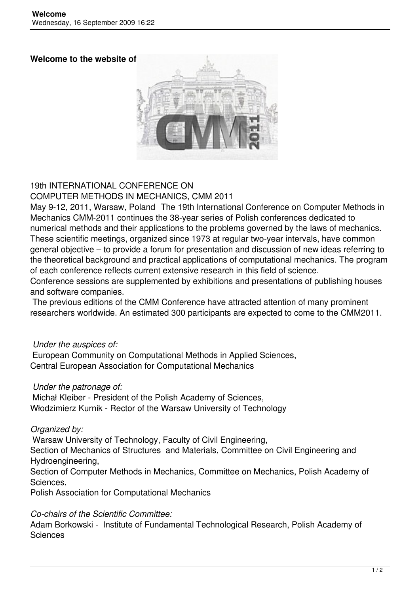#### **Welcome to the website of**



# 19th INTERNATIONAL CONFERENCE ON

COMPUTER METHODS IN MECHANICS, CMM 2011

May 9-12, 2011, Warsaw, Poland The 19th International Conference on Computer Methods in Mechanics CMM-2011 continues the 38-year series of Polish conferences dedicated to numerical methods and their applications to the problems governed by the laws of mechanics. These scientific meetings, organized since 1973 at regular two-year intervals, have common general objective – to provide a forum for presentation and discussion of new ideas referring to the theoretical background and practical applications of computational mechanics. The program of each conference reflects current extensive research in this field of science. Conference sessions are supplemented by exhibitions and presentations of publishing houses

and software companies.

 The previous editions of the CMM Conference have attracted attention of many prominent researchers worldwide. An estimated 300 participants are expected to come to the CMM2011.

## *Under the auspices of:*

 European Community on Computational Methods in Applied Sciences, Central European Association for Computational Mechanics

## *Under the patronage of:*

 Michał Kleiber - President of the Polish Academy of Sciences, Włodzimierz Kurnik - Rector of the Warsaw University of Technology

## *Organized by:*

Warsaw University of Technology, Faculty of Civil Engineering,

Section of Mechanics of Structures and Materials, Committee on Civil Engineering and Hydroengineering,

Section of Computer Methods in Mechanics, Committee on Mechanics, Polish Academy of Sciences,

Polish Association for Computational Mechanics

## *Co-chairs of the Scientific Committee:*

Adam Borkowski - Institute of Fundamental Technological Research, Polish Academy of **Sciences**